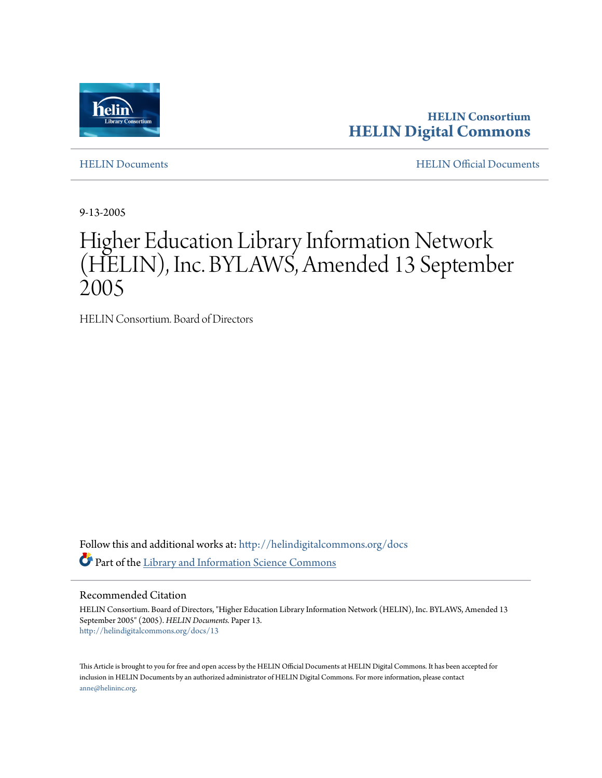

**HELIN Consortium [HELIN Digital Commons](http://helindigitalcommons.org?utm_source=helindigitalcommons.org%2Fdocs%2F13&utm_medium=PDF&utm_campaign=PDFCoverPages)**

[HELIN Documents](http://helindigitalcommons.org/docs?utm_source=helindigitalcommons.org%2Fdocs%2F13&utm_medium=PDF&utm_campaign=PDFCoverPages) [HELIN Official Documents](http://helindigitalcommons.org/documents?utm_source=helindigitalcommons.org%2Fdocs%2F13&utm_medium=PDF&utm_campaign=PDFCoverPages)

9-13-2005

# Higher Education Library Information Network (HELIN), Inc. BYLAWS, Amended 13 September 2005

HELIN Consortium. Board of Directors

Follow this and additional works at: [http://helindigitalcommons.org/docs](http://helindigitalcommons.org/docs?utm_source=helindigitalcommons.org%2Fdocs%2F13&utm_medium=PDF&utm_campaign=PDFCoverPages) Part of the [Library and Information Science Commons](http://network.bepress.com/hgg/discipline/1018?utm_source=helindigitalcommons.org%2Fdocs%2F13&utm_medium=PDF&utm_campaign=PDFCoverPages)

#### Recommended Citation

HELIN Consortium. Board of Directors, "Higher Education Library Information Network (HELIN), Inc. BYLAWS, Amended 13 September 2005" (2005). *HELIN Documents.* Paper 13. [http://helindigitalcommons.org/docs/13](http://helindigitalcommons.org/docs/13?utm_source=helindigitalcommons.org%2Fdocs%2F13&utm_medium=PDF&utm_campaign=PDFCoverPages)

This Article is brought to you for free and open access by the HELIN Official Documents at HELIN Digital Commons. It has been accepted for inclusion in HELIN Documents by an authorized administrator of HELIN Digital Commons. For more information, please contact [anne@helininc.org.](mailto:anne@helininc.org)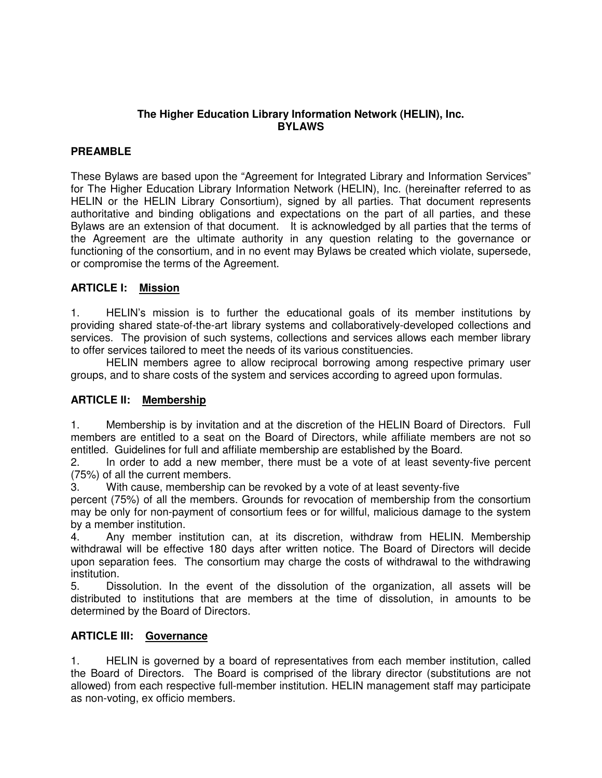# **The Higher Education Library Information Network (HELIN), Inc. BYLAWS**

# **PREAMBLE**

These Bylaws are based upon the "Agreement for Integrated Library and Information Services" for The Higher Education Library Information Network (HELIN), Inc. (hereinafter referred to as HELIN or the HELIN Library Consortium), signed by all parties. That document represents authoritative and binding obligations and expectations on the part of all parties, and these Bylaws are an extension of that document. It is acknowledged by all parties that the terms of the Agreement are the ultimate authority in any question relating to the governance or functioning of the consortium, and in no event may Bylaws be created which violate, supersede, or compromise the terms of the Agreement.

# **ARTICLE I: Mission**

1. HELIN's mission is to further the educational goals of its member institutions by providing shared state-of-the-art library systems and collaboratively-developed collections and services. The provision of such systems, collections and services allows each member library to offer services tailored to meet the needs of its various constituencies.

 HELIN members agree to allow reciprocal borrowing among respective primary user groups, and to share costs of the system and services according to agreed upon formulas.

# **ARTICLE II: Membership**

1. Membership is by invitation and at the discretion of the HELIN Board of Directors. Full members are entitled to a seat on the Board of Directors, while affiliate members are not so entitled. Guidelines for full and affiliate membership are established by the Board.

2. In order to add a new member, there must be a vote of at least seventy-five percent (75%) of all the current members.

3. With cause, membership can be revoked by a vote of at least seventy-five

percent (75%) of all the members. Grounds for revocation of membership from the consortium may be only for non-payment of consortium fees or for willful, malicious damage to the system by a member institution.

4. Any member institution can, at its discretion, withdraw from HELIN. Membership withdrawal will be effective 180 days after written notice. The Board of Directors will decide upon separation fees. The consortium may charge the costs of withdrawal to the withdrawing institution.

5. Dissolution. In the event of the dissolution of the organization, all assets will be distributed to institutions that are members at the time of dissolution, in amounts to be determined by the Board of Directors.

# **ARTICLE III: Governance**

1. HELIN is governed by a board of representatives from each member institution, called the Board of Directors. The Board is comprised of the library director (substitutions are not allowed) from each respective full-member institution. HELIN management staff may participate as non-voting, ex officio members.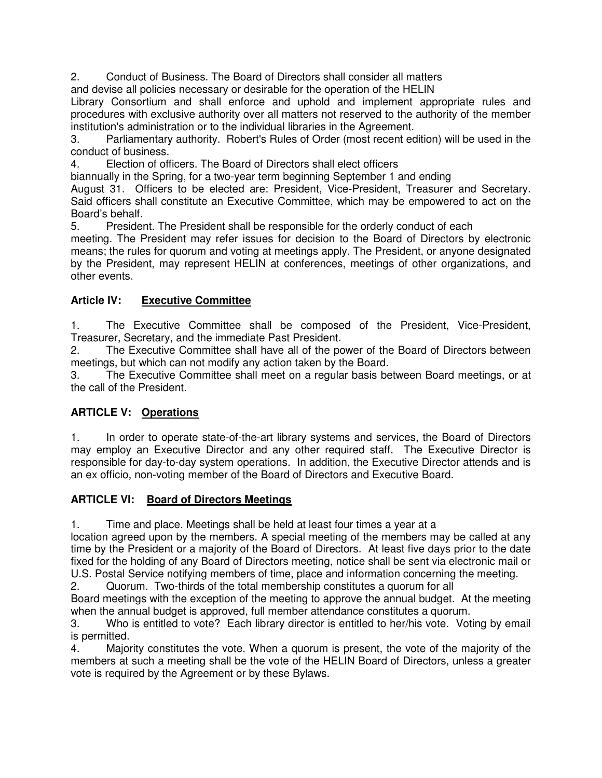2. Conduct of Business. The Board of Directors shall consider all matters

and devise all policies necessary or desirable for the operation of the HELIN

Library Consortium and shall enforce and uphold and implement appropriate rules and procedures with exclusive authority over all matters not reserved to the authority of the member institution's administration or to the individual libraries in the Agreement.

3. Parliamentary authority. Robert's Rules of Order (most recent edition) will be used in the conduct of business.

4. Election of officers. The Board of Directors shall elect officers

biannually in the Spring, for a two-year term beginning September 1 and ending

August 31. Officers to be elected are: President, Vice-President, Treasurer and Secretary. Said officers shall constitute an Executive Committee, which may be empowered to act on the Board's behalf.

5. President. The President shall be responsible for the orderly conduct of each

meeting. The President may refer issues for decision to the Board of Directors by electronic means; the rules for quorum and voting at meetings apply. The President, or anyone designated by the President, may represent HELIN at conferences, meetings of other organizations, and other events.

# **Article IV: Executive Committee**

1. The Executive Committee shall be composed of the President, Vice-President, Treasurer, Secretary, and the immediate Past President.

2. The Executive Committee shall have all of the power of the Board of Directors between meetings, but which can not modify any action taken by the Board.

3. The Executive Committee shall meet on a regular basis between Board meetings, or at the call of the President.

# **ARTICLE V: Operations**

1. In order to operate state-of-the-art library systems and services, the Board of Directors may employ an Executive Director and any other required staff. The Executive Director is responsible for day-to-day system operations. In addition, the Executive Director attends and is an ex officio, non-voting member of the Board of Directors and Executive Board.

# **ARTICLE VI: Board of Directors Meetings**

1. Time and place. Meetings shall be held at least four times a year at a

location agreed upon by the members. A special meeting of the members may be called at any time by the President or a majority of the Board of Directors. At least five days prior to the date fixed for the holding of any Board of Directors meeting, notice shall be sent via electronic mail or

U.S. Postal Service notifying members of time, place and information concerning the meeting.<br>2. Cuorum. Two-thirds of the total membership constitutes a quorum for all 2. Quorum. Two-thirds of the total membership constitutes a quorum for all

Board meetings with the exception of the meeting to approve the annual budget. At the meeting when the annual budget is approved, full member attendance constitutes a quorum.

3. Who is entitled to vote? Each library director is entitled to her/his vote. Voting by email is permitted.

4. Majority constitutes the vote. When a quorum is present, the vote of the majority of the members at such a meeting shall be the vote of the HELIN Board of Directors, unless a greater vote is required by the Agreement or by these Bylaws.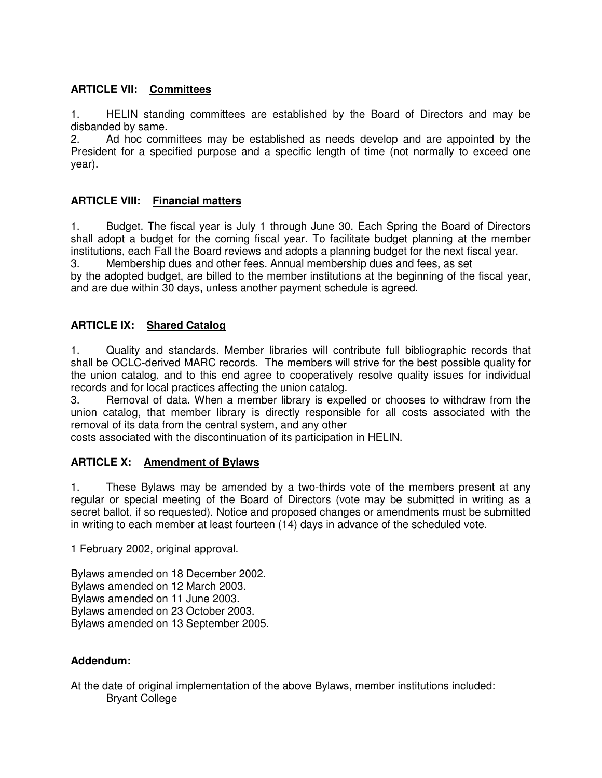# **ARTICLE VII: Committees**

1. HELIN standing committees are established by the Board of Directors and may be disbanded by same.

2. Ad hoc committees may be established as needs develop and are appointed by the President for a specified purpose and a specific length of time (not normally to exceed one year).

#### **ARTICLE VIII: Financial matters**

1. Budget. The fiscal year is July 1 through June 30. Each Spring the Board of Directors shall adopt a budget for the coming fiscal year. To facilitate budget planning at the member institutions, each Fall the Board reviews and adopts a planning budget for the next fiscal year.

3. Membership dues and other fees. Annual membership dues and fees, as set

by the adopted budget, are billed to the member institutions at the beginning of the fiscal year, and are due within 30 days, unless another payment schedule is agreed.

#### **ARTICLE IX: Shared Catalog**

1. Quality and standards. Member libraries will contribute full bibliographic records that shall be OCLC-derived MARC records. The members will strive for the best possible quality for the union catalog, and to this end agree to cooperatively resolve quality issues for individual records and for local practices affecting the union catalog.

3. Removal of data. When a member library is expelled or chooses to withdraw from the union catalog, that member library is directly responsible for all costs associated with the removal of its data from the central system, and any other

costs associated with the discontinuation of its participation in HELIN.

# **ARTICLE X: Amendment of Bylaws**

1. These Bylaws may be amended by a two-thirds vote of the members present at any regular or special meeting of the Board of Directors (vote may be submitted in writing as a secret ballot, if so requested). Notice and proposed changes or amendments must be submitted in writing to each member at least fourteen (14) days in advance of the scheduled vote.

1 February 2002, original approval.

Bylaws amended on 18 December 2002. Bylaws amended on 12 March 2003. Bylaws amended on 11 June 2003. Bylaws amended on 23 October 2003. Bylaws amended on 13 September 2005.

#### **Addendum:**

At the date of original implementation of the above Bylaws, member institutions included: Bryant College